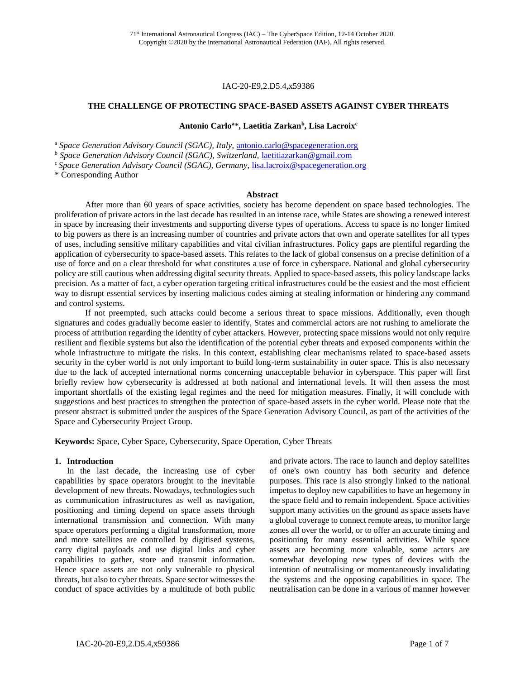#### IAC-20-E9,2.D5.4,x59386

#### **THE CHALLENGE OF PROTECTING SPACE-BASED ASSETS AGAINST CYBER THREATS**

#### **Antonio Carlo<sup>a</sup>**\***, Laetitia Zarkan<sup>b</sup> , Lisa Lacroix<sup>c</sup>**

<sup>a</sup> Space Generation Advisory Council (SGAC), Italy, [antonio.carlo@spacegeneration.org](mailto:antonio.carlo@spacegeneration.org)

<sup>b</sup> Space Generation Advisory Council (SGAC), Switzerland, [laetitiazarkan@gmail.com](mailto:laetitiazarkan@gmail.com)

<sup>c</sup> Space Generation Advisory Council (SGAC), Germany, *[lisa.lacroix@spacegeneration.org](mailto:lisa.lacroix@spacegeneration.org)* 

\* Corresponding Author

#### **Abstract**

After more than 60 years of space activities, society has become dependent on space based technologies. The proliferation of private actors in the last decade has resulted in an intense race, while States are showing a renewed interest in space by increasing their investments and supporting diverse types of operations. Access to space is no longer limited to big powers as there is an increasing number of countries and private actors that own and operate satellites for all types of uses, including sensitive military capabilities and vital civilian infrastructures. Policy gaps are plentiful regarding the application of cybersecurity to space-based assets. This relates to the lack of global consensus on a precise definition of a use of force and on a clear threshold for what constitutes a use of force in cyberspace. National and global cybersecurity policy are still cautious when addressing digital security threats. Applied to space-based assets, this policy landscape lacks precision. As a matter of fact, a cyber operation targeting critical infrastructures could be the easiest and the most efficient way to disrupt essential services by inserting malicious codes aiming at stealing information or hindering any command and control systems.

If not preempted, such attacks could become a serious threat to space missions. Additionally, even though signatures and codes gradually become easier to identify, States and commercial actors are not rushing to ameliorate the process of attribution regarding the identity of cyber attackers. However, protecting space missions would not only require resilient and flexible systems but also the identification of the potential cyber threats and exposed components within the whole infrastructure to mitigate the risks. In this context, establishing clear mechanisms related to space-based assets security in the cyber world is not only important to build long-term sustainability in outer space. This is also necessary due to the lack of accepted international norms concerning unacceptable behavior in cyberspace. This paper will first briefly review how cybersecurity is addressed at both national and international levels. It will then assess the most important shortfalls of the existing legal regimes and the need for mitigation measures. Finally, it will conclude with suggestions and best practices to strengthen the protection of space-based assets in the cyber world. Please note that the present abstract is submitted under the auspices of the Space Generation Advisory Council, as part of the activities of the Space and Cybersecurity Project Group.

**Keywords:** Space, Cyber Space, Cybersecurity, Space Operation, Cyber Threats

#### **1. Introduction**

In the last decade, the increasing use of cyber capabilities by space operators brought to the inevitable development of new threats. Nowadays, technologies such as communication infrastructures as well as navigation, positioning and timing depend on space assets through international transmission and connection. With many space operators performing a digital transformation, more and more satellites are controlled by digitised systems, carry digital payloads and use digital links and cyber capabilities to gather, store and transmit information. Hence space assets are not only vulnerable to physical threats, but also to cyber threats. Space sector witnesses the conduct of space activities by a multitude of both public

and private actors. The race to launch and deploy satellites of one's own country has both security and defence purposes. This race is also strongly linked to the national impetus to deploy new capabilities to have an hegemony in the space field and to remain independent. Space activities support many activities on the ground as space assets have a global coverage to connect remote areas, to monitor large zones all over the world, or to offer an accurate timing and positioning for many essential activities. While space assets are becoming more valuable, some actors are somewhat developing new types of devices with the intention of neutralising or momentaneously invalidating the systems and the opposing capabilities in space. The neutralisation can be done in a various of manner however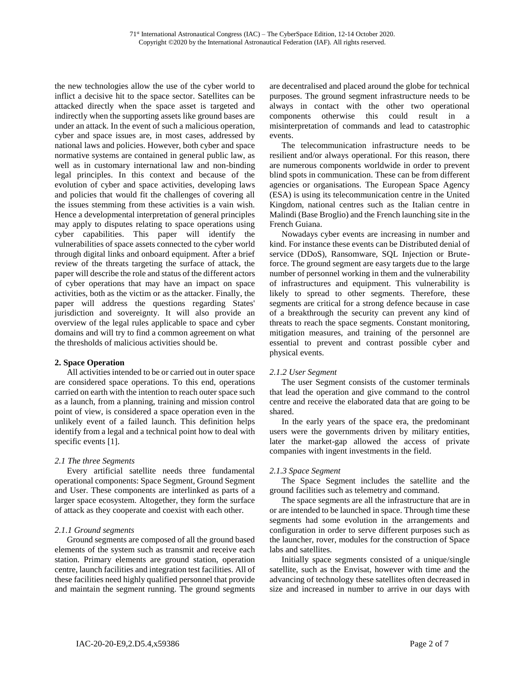the new technologies allow the use of the cyber world to inflict a decisive hit to the space sector. Satellites can be attacked directly when the space asset is targeted and indirectly when the supporting assets like ground bases are under an attack. In the event of such a malicious operation, cyber and space issues are, in most cases, addressed by national laws and policies. However, both cyber and space normative systems are contained in general public law, as well as in customary international law and non-binding legal principles. In this context and because of the evolution of cyber and space activities, developing laws and policies that would fit the challenges of covering all the issues stemming from these activities is a vain wish. Hence a developmental interpretation of general principles may apply to disputes relating to space operations using cyber capabilities. This paper will identify the vulnerabilities of space assets connected to the cyber world through digital links and onboard equipment. After a brief review of the threats targeting the surface of attack, the paper will describe the role and status of the different actors of cyber operations that may have an impact on space activities, both as the victim or as the attacker. Finally, the paper will address the questions regarding States' jurisdiction and sovereignty. It will also provide an overview of the legal rules applicable to space and cyber domains and will try to find a common agreement on what the thresholds of malicious activities should be.

# **2. Space Operation**

All activities intended to be or carried out in outer space are considered space operations. To this end, operations carried on earth with the intention to reach outer space such as a launch, from a planning, training and mission control point of view, is considered a space operation even in the unlikely event of a failed launch. This definition helps identify from a legal and a technical point how to deal with specific events [1].

#### *2.1 The three Segments*

Every artificial satellite needs three fundamental operational components: Space Segment, Ground Segment and User. These components are interlinked as parts of a larger space ecosystem. Altogether, they form the surface of attack as they cooperate and coexist with each other.

# *2.1.1 Ground segments*

Ground segments are composed of all the ground based elements of the system such as transmit and receive each station. Primary elements are ground station, operation centre, launch facilities and integration test facilities. All of these facilities need highly qualified personnel that provide and maintain the segment running. The ground segments

are decentralised and placed around the globe for technical purposes. The ground segment infrastructure needs to be always in contact with the other two operational components otherwise this could result in a misinterpretation of commands and lead to catastrophic events.

The telecommunication infrastructure needs to be resilient and/or always operational. For this reason, there are numerous components worldwide in order to prevent blind spots in communication. These can be from different agencies or organisations. The European Space Agency (ESA) is using its telecommunication centre in the United Kingdom, national centres such as the Italian centre in Malindi (Base Broglio) and the French launching site in the French Guiana.

Nowadays cyber events are increasing in number and kind. For instance these events can be Distributed denial of service (DDoS), Ransomware, SQL Injection or Bruteforce. The ground segment are easy targets due to the large number of personnel working in them and the vulnerability of infrastructures and equipment. This vulnerability is likely to spread to other segments. Therefore, these segments are critical for a strong defence because in case of a breakthrough the security can prevent any kind of threats to reach the space segments. Constant monitoring, mitigation measures, and training of the personnel are essential to prevent and contrast possible cyber and physical events.

# *2.1.2 User Segment*

The user Segment consists of the customer terminals that lead the operation and give command to the control centre and receive the elaborated data that are going to be shared.

In the early years of the space era, the predominant users were the governments driven by military entities, later the market-gap allowed the access of private companies with ingent investments in the field.

# *2.1.3 Space Segment*

The Space Segment includes the satellite and the ground facilities such as telemetry and command.

The space segments are all the infrastructure that are in or are intended to be launched in space. Through time these segments had some evolution in the arrangements and configuration in order to serve different purposes such as the launcher, rover, modules for the construction of Space labs and satellites.

Initially space segments consisted of a unique/single satellite, such as the Envisat, however with time and the advancing of technology these satellites often decreased in size and increased in number to arrive in our days with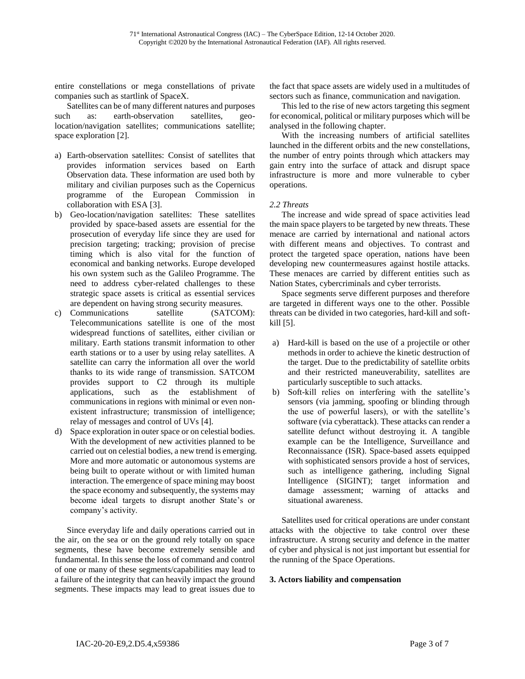entire constellations or mega constellations of private companies such as startlink of SpaceX.

Satellites can be of many different natures and purposes such as: earth-observation satellites, geolocation/navigation satellites; communications satellite; space exploration [2].

- a) Earth-observation satellites: Consist of satellites that provides information services based on Earth Observation data. These information are used both by military and civilian purposes such as the Copernicus programme of the European Commission in collaboration with ESA [3].
- b) Geo-location/navigation satellites: These satellites provided by space-based assets are essential for the prosecution of everyday life since they are used for precision targeting; tracking; provision of precise timing which is also vital for the function of economical and banking networks. Europe developed his own system such as the Galileo Programme. The need to address cyber-related challenges to these strategic space assets is critical as essential services are dependent on having strong security measures.
- c) Communications satellite (SATCOM): Telecommunications satellite is one of the most widespread functions of satellites, either civilian or military. Earth stations transmit information to other earth stations or to a user by using relay satellites. A satellite can carry the information all over the world thanks to its wide range of transmission. SATCOM provides support to C2 through its multiple applications, such as the establishment of communications in regions with minimal or even nonexistent infrastructure; transmission of intelligence; relay of messages and control of UVs [4].
- d) Space exploration in outer space or on celestial bodies. With the development of new activities planned to be carried out on celestial bodies, a new trend is emerging. More and more automatic or autonomous systems are being built to operate without or with limited human interaction. The emergence of space mining may boost the space economy and subsequently, the systems may become ideal targets to disrupt another State's or company's activity.

Since everyday life and daily operations carried out in the air, on the sea or on the ground rely totally on space segments, these have become extremely sensible and fundamental. In this sense the loss of command and control of one or many of these segments/capabilities may lead to a failure of the integrity that can heavily impact the ground segments. These impacts may lead to great issues due to

the fact that space assets are widely used in a multitudes of sectors such as finance, communication and navigation.

This led to the rise of new actors targeting this segment for economical, political or military purposes which will be analysed in the following chapter.

With the increasing numbers of artificial satellites launched in the different orbits and the new constellations, the number of entry points through which attackers may gain entry into the surface of attack and disrupt space infrastructure is more and more vulnerable to cyber operations.

# *2.2 Threats*

The increase and wide spread of space activities lead the main space players to be targeted by new threats. These menace are carried by international and national actors with different means and objectives. To contrast and protect the targeted space operation, nations have been developing new countermeasures against hostile attacks. These menaces are carried by different entities such as Nation States, cybercriminals and cyber terrorists.

Space segments serve different purposes and therefore are targeted in different ways one to the other. Possible threats can be divided in two categories, hard-kill and softkill [5].

- a) Hard-kill is based on the use of a projectile or other methods in order to achieve the kinetic destruction of the target. Due to the predictability of satellite orbits and their restricted maneuverability, satellites are particularly susceptible to such attacks.
- b) Soft-kill relies on interfering with the satellite's sensors (via jamming, spoofing or blinding through the use of powerful lasers), or with the satellite's software (via cyberattack). These attacks can render a satellite defunct without destroying it. A tangible example can be the Intelligence, Surveillance and Reconnaissance (ISR). Space-based assets equipped with sophisticated sensors provide a host of services, such as intelligence gathering, including Signal Intelligence (SIGINT); target information and damage assessment; warning of attacks and situational awareness.

Satellites used for critical operations are under constant attacks with the objective to take control over these infrastructure. A strong security and defence in the matter of cyber and physical is not just important but essential for the running of the Space Operations.

# **3. Actors liability and compensation**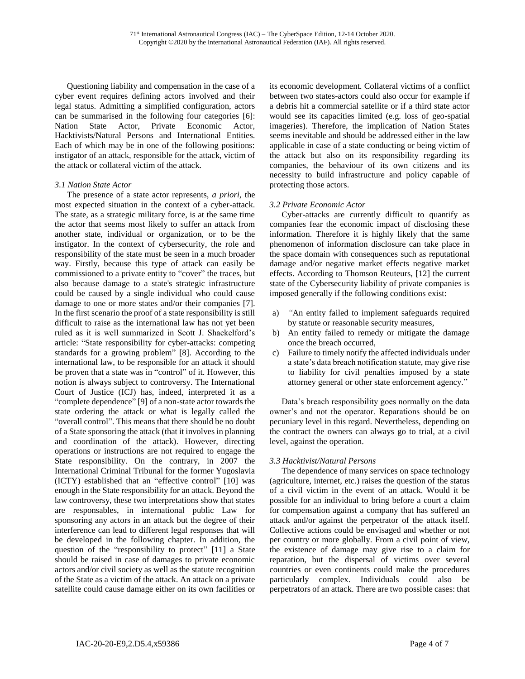Questioning liability and compensation in the case of a cyber event requires defining actors involved and their legal status. Admitting a simplified configuration, actors can be summarised in the following four categories [6]: Nation State Actor, Private Economic Actor, Hacktivists/Natural Persons and International Entities. Each of which may be in one of the following positions: instigator of an attack, responsible for the attack, victim of the attack or collateral victim of the attack.

#### *3.1 Nation State Actor*

The presence of a state actor represents, *a priori*, the most expected situation in the context of a cyber-attack. The state, as a strategic military force, is at the same time the actor that seems most likely to suffer an attack from another state, individual or organization, or to be the instigator. In the context of cybersecurity, the role and responsibility of the state must be seen in a much broader way. Firstly, because this type of attack can easily be commissioned to a private entity to "cover" the traces, but also because damage to a state's strategic infrastructure could be caused by a single individual who could cause damage to one or more states and/or their companies [7]. In the first scenario the proof of a state responsibility is still difficult to raise as the international law has not yet been ruled as it is well summarized in Scott J. Shackelford's article: "State responsibility for cyber-attacks: competing standards for a growing problem" [8]. According to the international law, to be responsible for an attack it should be proven that a state was in "control" of it. However, this notion is always subject to controversy. The International Court of Justice (ICJ) has, indeed, interpreted it as a "complete dependence" [9] of a non-state actor towards the state ordering the attack or what is legally called the "overall control". This means that there should be no doubt of a State sponsoring the attack (that it involves in planning and coordination of the attack). However, directing operations or instructions are not required to engage the State responsibility. On the contrary, in 2007 the International Criminal Tribunal for the former Yugoslavia (ICTY) established that an "effective control" [10] was enough in the State responsibility for an attack. Beyond the law controversy, these two interpretations show that states are responsables, in international public Law for sponsoring any actors in an attack but the degree of their interference can lead to different legal responses that will be developed in the following chapter. In addition, the question of the "responsibility to protect" [11] a State should be raised in case of damages to private economic actors and/or civil society as well as the statute recognition of the State as a victim of the attack. An attack on a private satellite could cause damage either on its own facilities or

its economic development. Collateral victims of a conflict between two states-actors could also occur for example if a debris hit a commercial satellite or if a third state actor would see its capacities limited (e.g. loss of geo-spatial imageries). Therefore, the implication of Nation States seems inevitable and should be addressed either in the law applicable in case of a state conducting or being victim of the attack but also on its responsibility regarding its companies, the behaviour of its own citizens and its necessity to build infrastructure and policy capable of protecting those actors.

# *3.2 Private Economic Actor*

Cyber-attacks are currently difficult to quantify as companies fear the economic impact of disclosing these information. Therefore it is highly likely that the same phenomenon of information disclosure can take place in the space domain with consequences such as reputational damage and/or negative market effects negative market effects. According to Thomson Reuteurs, [12] the current state of the Cybersecurity liability of private companies is imposed generally if the following conditions exist:

- a) *"*An entity failed to implement safeguards required by statute or reasonable security measures,
- b) An entity failed to remedy or mitigate the damage once the breach occurred,
- c) Failure to timely notify the affected individuals under a state's data breach notification statute, may give rise to liability for civil penalties imposed by a state attorney general or other state enforcement agency."

Data's breach responsibility goes normally on the data owner's and not the operator. Reparations should be on pecuniary level in this regard. Nevertheless, depending on the contract the owners can always go to trial, at a civil level, against the operation.

# *3.3 Hacktivist/Natural Persons*

The dependence of many services on space technology (agriculture, internet, etc.) raises the question of the status of a civil victim in the event of an attack. Would it be possible for an individual to bring before a court a claim for compensation against a company that has suffered an attack and/or against the perpetrator of the attack itself. Collective actions could be envisaged and whether or not per country or more globally. From a civil point of view, the existence of damage may give rise to a claim for reparation, but the dispersal of victims over several countries or even continents could make the procedures particularly complex. Individuals could also be perpetrators of an attack. There are two possible cases: that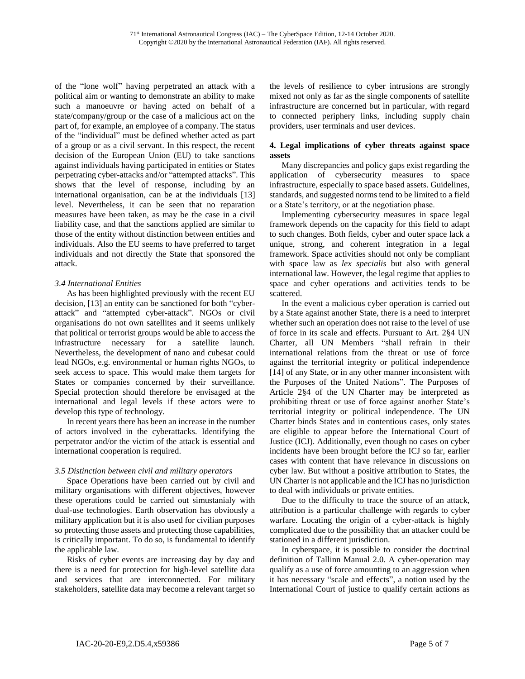of the "lone wolf" having perpetrated an attack with a political aim or wanting to demonstrate an ability to make such a manoeuvre or having acted on behalf of a state/company/group or the case of a malicious act on the part of, for example, an employee of a company. The status of the "individual" must be defined whether acted as part of a group or as a civil servant. In this respect, the recent decision of the European Union (EU) to take sanctions against individuals having participated in entities or States perpetrating cyber-attacks and/or "attempted attacks". This shows that the level of response, including by an international organisation, can be at the individuals [13] level. Nevertheless, it can be seen that no reparation measures have been taken, as may be the case in a civil liability case, and that the sanctions applied are similar to those of the entity without distinction between entities and individuals. Also the EU seems to have preferred to target individuals and not directly the State that sponsored the attack.

# *3.4 International Entities*

As has been highlighted previously with the recent EU decision, [13] an entity can be sanctioned for both "cyberattack" and "attempted cyber-attack". NGOs or civil organisations do not own satellites and it seems unlikely that political or terrorist groups would be able to access the infrastructure necessary for a satellite launch. Nevertheless, the development of nano and cubesat could lead NGOs, e.g. environmental or human rights NGOs, to seek access to space. This would make them targets for States or companies concerned by their surveillance. Special protection should therefore be envisaged at the international and legal levels if these actors were to develop this type of technology.

In recent years there has been an increase in the number of actors involved in the cyberattacks. Identifying the perpetrator and/or the victim of the attack is essential and international cooperation is required.

# *3.5 Distinction between civil and military operators*

Space Operations have been carried out by civil and military organisations with different objectives, however these operations could be carried out simustanialy with dual-use technologies. Earth observation has obviously a military application but it is also used for civilian purposes so protecting those assets and protecting those capabilities, is critically important. To do so, is fundamental to identify the applicable law.

Risks of cyber events are increasing day by day and there is a need for protection for high-level satellite data and services that are interconnected. For military stakeholders, satellite data may become a relevant target so

the levels of resilience to cyber intrusions are strongly mixed not only as far as the single components of satellite infrastructure are concerned but in particular, with regard to connected periphery links, including supply chain providers, user terminals and user devices.

# **4. Legal implications of cyber threats against space assets**

Many discrepancies and policy gaps exist regarding the application of cybersecurity measures to space infrastructure, especially to space based assets. Guidelines, standards, and suggested norms tend to be limited to a field or a State's territory, or at the negotiation phase.

Implementing cybersecurity measures in space legal framework depends on the capacity for this field to adapt to such changes. Both fields, cyber and outer space lack a unique, strong, and coherent integration in a legal framework. Space activities should not only be compliant with space law as *lex specialis* but also with general international law. However, the legal regime that applies to space and cyber operations and activities tends to be scattered.

In the event a malicious cyber operation is carried out by a State against another State, there is a need to interpret whether such an operation does not raise to the level of use of force in its scale and effects. Pursuant to Art. 2§4 UN Charter, all UN Members "shall refrain in their international relations from the threat or use of force against the territorial integrity or political independence [14] of any State, or in any other manner inconsistent with the Purposes of the United Nations". The Purposes of Article 2§4 of the UN Charter may be interpreted as prohibiting threat or use of force against another State's territorial integrity or political independence. The UN Charter binds States and in contentious cases, only states are eligible to appear before the International Court of Justice (ICJ). Additionally, even though no cases on cyber incidents have been brought before the ICJ so far, earlier cases with content that have relevance in discussions on cyber law. But without a positive attribution to States, the UN Charter is not applicable and the ICJ has no jurisdiction to deal with individuals or private entities.

Due to the difficulty to trace the source of an attack, attribution is a particular challenge with regards to cyber warfare. Locating the origin of a cyber-attack is highly complicated due to the possibility that an attacker could be stationed in a different jurisdiction.

In cyberspace, it is possible to consider the doctrinal definition of Tallinn Manual 2.0. A cyber-operation may qualify as a use of force amounting to an aggression when it has necessary "scale and effects", a notion used by the International Court of justice to qualify certain actions as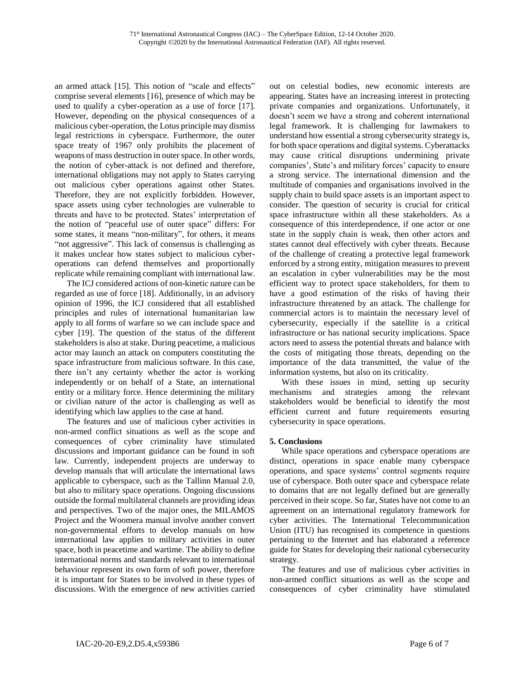an armed attack [15]. This notion of "scale and effects" comprise several elements [16], presence of which may be used to qualify a cyber-operation as a use of force [17]. However, depending on the physical consequences of a malicious cyber-operation, the Lotus principle may dismiss legal restrictions in cyberspace. Furthermore, the outer space treaty of 1967 only prohibits the placement of weapons of mass destruction in outer space. In other words, the notion of cyber-attack is not defined and therefore, international obligations may not apply to States carrying out malicious cyber operations against other States. Therefore, they are not explicitly forbidden. However, space assets using cyber technologies are vulnerable to threats and have to be protected. States' interpretation of the notion of "peaceful use of outer space" differs: For some states, it means "non-military", for others, it means "not aggressive". This lack of consensus is challenging as it makes unclear how states subject to malicious cyberoperations can defend themselves and proportionally replicate while remaining compliant with international law.

The ICJ considered actions of non-kinetic nature can be regarded as use of force [18]. Additionally, in an advisory opinion of 1996, the ICJ considered that all established principles and rules of international humanitarian law apply to all forms of warfare so we can include space and cyber [19]. The question of the status of the different stakeholders is also at stake. During peacetime, a malicious actor may launch an attack on computers constituting the space infrastructure from malicious software. In this case, there isn't any certainty whether the actor is working independently or on behalf of a State, an international entity or a military force. Hence determining the military or civilian nature of the actor is challenging as well as identifying which law applies to the case at hand.

The features and use of malicious cyber activities in non-armed conflict situations as well as the scope and consequences of cyber criminality have stimulated discussions and important guidance can be found in soft law. Currently, independent projects are underway to develop manuals that will articulate the international laws applicable to cyberspace, such as the Tallinn Manual 2.0, but also to military space operations. Ongoing discussions outside the formal multilateral channels are providing ideas and perspectives. Two of the major ones, the MILAMOS Project and the Woomera manual involve another convert non-governmental efforts to develop manuals on how international law applies to military activities in outer space, both in peacetime and wartime. The ability to define international norms and standards relevant to international behaviour represent its own form of soft power, therefore it is important for States to be involved in these types of discussions. With the emergence of new activities carried out on celestial bodies, new economic interests are appearing. States have an increasing interest in protecting private companies and organizations. Unfortunately, it doesn't seem we have a strong and coherent international legal framework. It is challenging for lawmakers to understand how essential a strong cybersecurity strategy is, for both space operations and digital systems. Cyberattacks may cause critical disruptions undermining private companies', State's and military forces' capacity to ensure a strong service. The international dimension and the multitude of companies and organisations involved in the supply chain to build space assets is an important aspect to consider. The question of security is crucial for critical space infrastructure within all these stakeholders. As a consequence of this interdependence, if one actor or one state in the supply chain is weak, then other actors and states cannot deal effectively with cyber threats. Because of the challenge of creating a protective legal framework enforced by a strong entity, mitigation measures to prevent an escalation in cyber vulnerabilities may be the most efficient way to protect space stakeholders, for them to have a good estimation of the risks of having their infrastructure threatened by an attack. The challenge for commercial actors is to maintain the necessary level of cybersecurity, especially if the satellite is a critical infrastructure or has national security implications. Space actors need to assess the potential threats and balance with the costs of mitigating those threats, depending on the importance of the data transmitted, the value of the information systems, but also on its criticality.

With these issues in mind, setting up security mechanisms and strategies among the relevant stakeholders would be beneficial to identify the most efficient current and future requirements ensuring cybersecurity in space operations.

# **5. Conclusions**

While space operations and cyberspace operations are distinct, operations in space enable many cyberspace operations, and space systems' control segments require use of cyberspace. Both outer space and cyberspace relate to domains that are not legally defined but are generally perceived in their scope. So far, States have not come to an agreement on an international regulatory framework for cyber activities. The International Telecommunication Union (ITU) has recognised its competence in questions pertaining to the Internet and has elaborated a reference guide for States for developing their national cybersecurity strategy.

The features and use of malicious cyber activities in non-armed conflict situations as well as the scope and consequences of cyber criminality have stimulated